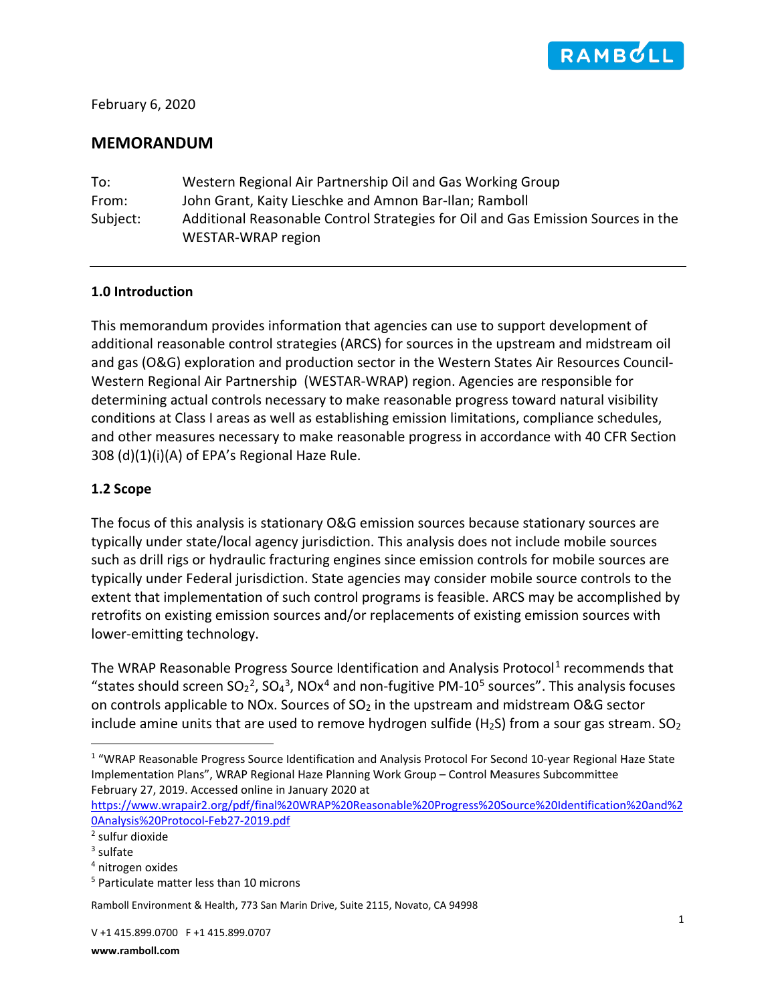

February 6, 2020

## **MEMORANDUM**

| To:      | Western Regional Air Partnership Oil and Gas Working Group                       |
|----------|----------------------------------------------------------------------------------|
| From:    | John Grant, Kaity Lieschke and Amnon Bar-Ilan; Ramboll                           |
| Subject: | Additional Reasonable Control Strategies for Oil and Gas Emission Sources in the |
|          | WESTAR-WRAP region                                                               |

## **1.0 Introduction**

This memorandum provides information that agencies can use to support development of additional reasonable control strategies (ARCS) for sources in the upstream and midstream oil and gas (O&G) exploration and production sector in the Western States Air Resources Council-Western Regional Air Partnership (WESTAR-WRAP) region. Agencies are responsible for determining actual controls necessary to make reasonable progress toward natural visibility conditions at Class I areas as well as establishing emission limitations, compliance schedules, and other measures necessary to make reasonable progress in accordance with 40 CFR Section 308 (d)(1)(i)(A) of EPA's Regional Haze Rule.

## **1.2 Scope**

The focus of this analysis is stationary O&G emission sources because stationary sources are typically under state/local agency jurisdiction. This analysis does not include mobile sources such as drill rigs or hydraulic fracturing engines since emission controls for mobile sources are typically under Federal jurisdiction. State agencies may consider mobile source controls to the extent that implementation of such control programs is feasible. ARCS may be accomplished by retrofits on existing emission sources and/or replacements of existing emission sources with lower-emitting technology.

The WRAP Reasonable Progress Source Identification and Analysis Protocol<sup>[1](#page-0-0)</sup> recommends that "states should screen  $SO_2^2$  $SO_2^2$  $SO_2^2$ ,  $SO_4^3$  $SO_4^3$ , NOx<sup>[4](#page-0-3)</sup> and non-fugitive PM-10<sup>[5](#page-0-4)</sup> sources". This analysis focuses on controls applicable to NOx. Sources of  $SO<sub>2</sub>$  in the upstream and midstream O&G sector include amine units that are used to remove hydrogen sulfide (H<sub>2</sub>S) from a sour gas stream. SO<sub>2</sub>

[https://www.wrapair2.org/pdf/final%20WRAP%20Reasonable%20Progress%20Source%20Identification%20and%2](https://www.wrapair2.org/pdf/final%20WRAP%20Reasonable%20Progress%20Source%20Identification%20and%20Analysis%20Protocol-Feb27-2019.pdf) [0Analysis%20Protocol-Feb27-2019.pdf](https://www.wrapair2.org/pdf/final%20WRAP%20Reasonable%20Progress%20Source%20Identification%20and%20Analysis%20Protocol-Feb27-2019.pdf)

Ramboll Environment & Health, 773 San Marin Drive, Suite 2115, Novato, CA 94998

<span id="page-0-0"></span> <sup>1</sup> "WRAP Reasonable Progress Source Identification and Analysis Protocol For Second 10-year Regional Haze State Implementation Plans", WRAP Regional Haze Planning Work Group – Control Measures Subcommittee February 27, 2019. Accessed online in January 2020 at

<span id="page-0-1"></span><sup>2</sup> sulfur dioxide

<span id="page-0-2"></span><sup>3</sup> sulfate

<span id="page-0-3"></span><sup>4</sup> nitrogen oxides

<span id="page-0-4"></span><sup>&</sup>lt;sup>5</sup> Particulate matter less than 10 microns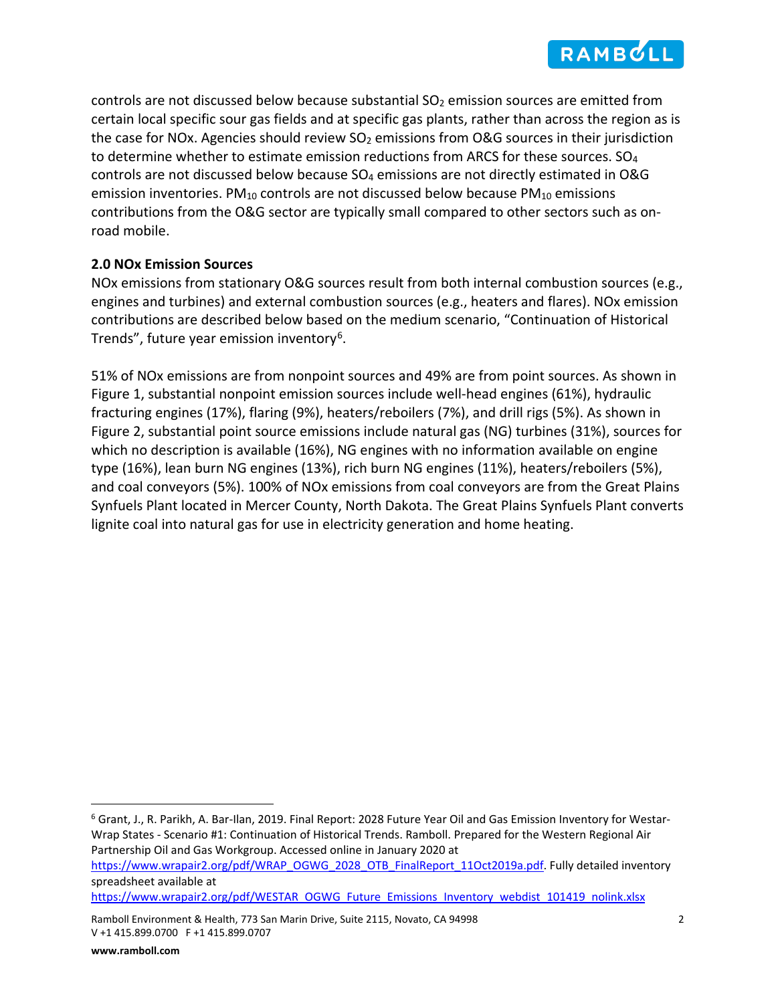<span id="page-1-2"></span>

controls are not discussed below because substantial  $SO<sub>2</sub>$  emission sources are emitted from certain local specific sour gas fields and at specific gas plants, rather than across the region as is the case for NOx. Agencies should review  $SO<sub>2</sub>$  emissions from O&G sources in their jurisdiction to determine whether to estimate emission reductions from ARCS for these sources. SO<sub>4</sub> controls are not discussed below because SO4 emissions are not directly estimated in O&G emission inventories. PM<sub>10</sub> controls are not discussed below because PM<sub>10</sub> emissions contributions from the O&G sector are typically small compared to other sectors such as onroad mobile.

## **2.0 NOx Emission Sources**

NOx emissions from stationary O&G sources result from both internal combustion sources (e.g., engines and turbines) and external combustion sources (e.g., heaters and flares). NOx emission contributions are described below based on the medium scenario, "Continuation of Historical Trends", future year emission inventory<sup>[6](#page-1-0)</sup>.

<span id="page-1-1"></span>51% of NOx emissions are from nonpoint sources and 49% are from point sources. As shown in Figure 1, substantial nonpoint emission sources include well-head engines (61%), hydraulic fracturing engines (17%), flaring (9%), heaters/reboilers (7%), and drill rigs (5%). As shown in Figure 2, substantial point source emissions include natural gas (NG) turbines (31%), sources for which no description is available (16%), NG engines with no information available on engine type (16%), lean burn NG engines (13%), rich burn NG engines (11%), heaters/reboilers (5%), and coal conveyors (5%). 100% of NOx emissions from coal conveyors are from the Great Plains Synfuels Plant located in Mercer County, North Dakota. The Great Plains Synfuels Plant converts lignite coal into natural gas for use in electricity generation and home heating.

[https://www.wrapair2.org/pdf/WRAP\\_OGWG\\_2028\\_OTB\\_FinalReport\\_11Oct2019a.pdf.](https://www.wrapair2.org/pdf/WRAP_OGWG_2028_OTB_FinalReport_11Oct2019a.pdf) Fully detailed inventory spreadsheet available at

[https://www.wrapair2.org/pdf/WESTAR\\_OGWG\\_Future\\_Emissions\\_Inventory\\_webdist\\_101419\\_nolink.xlsx](https://www.wrapair2.org/pdf/WESTAR_OGWG_Future_Emissions_Inventory_webdist_101419_nolink.xlsx)

<span id="page-1-0"></span> <sup>6</sup> Grant, J., R. Parikh, A. Bar-Ilan, 2019. Final Report: 2028 Future Year Oil and Gas Emission Inventory for Westar-Wrap States - Scenario #1: Continuation of Historical Trends. Ramboll. Prepared for the Western Regional Air Partnership Oil and Gas Workgroup. Accessed online in January 2020 at

Ramboll Environment & Health, 773 San Marin Drive, Suite 2115, Novato, CA 94998 2 V +1 415.899.0700 F +1 415.899.0707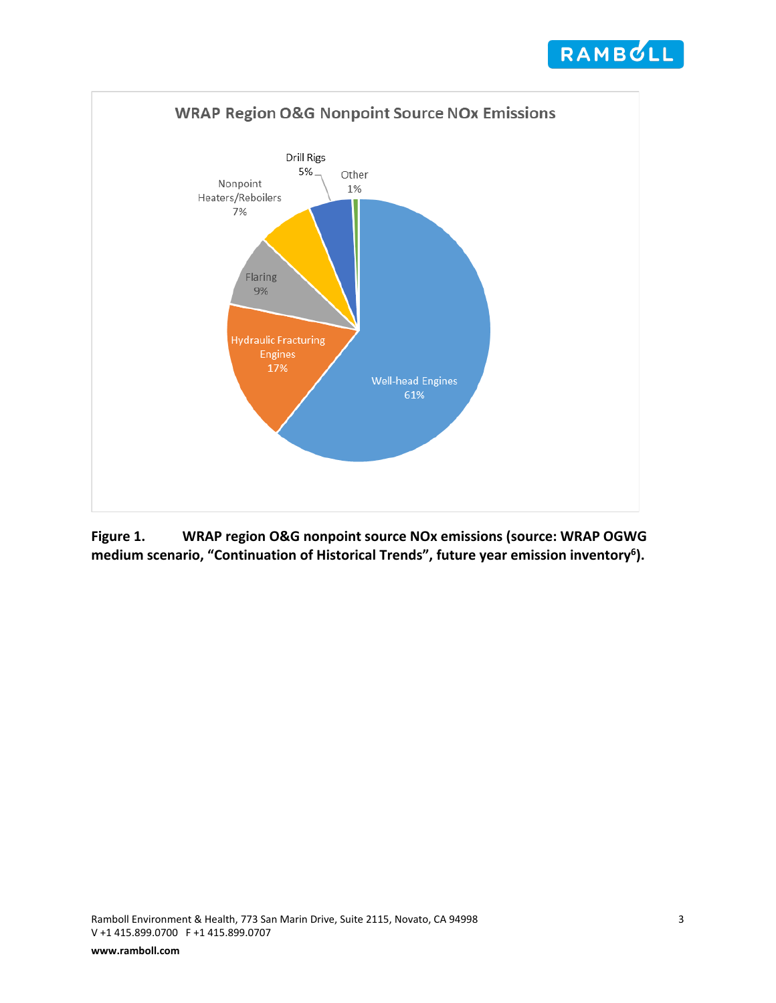



**Figure 1. WRAP region O&G nonpoint source NOx emissions (source: WRAP OGWG medium scenario, "Continuation of Historical Trends", future year emission inventor[y6](#page-1-1) ).**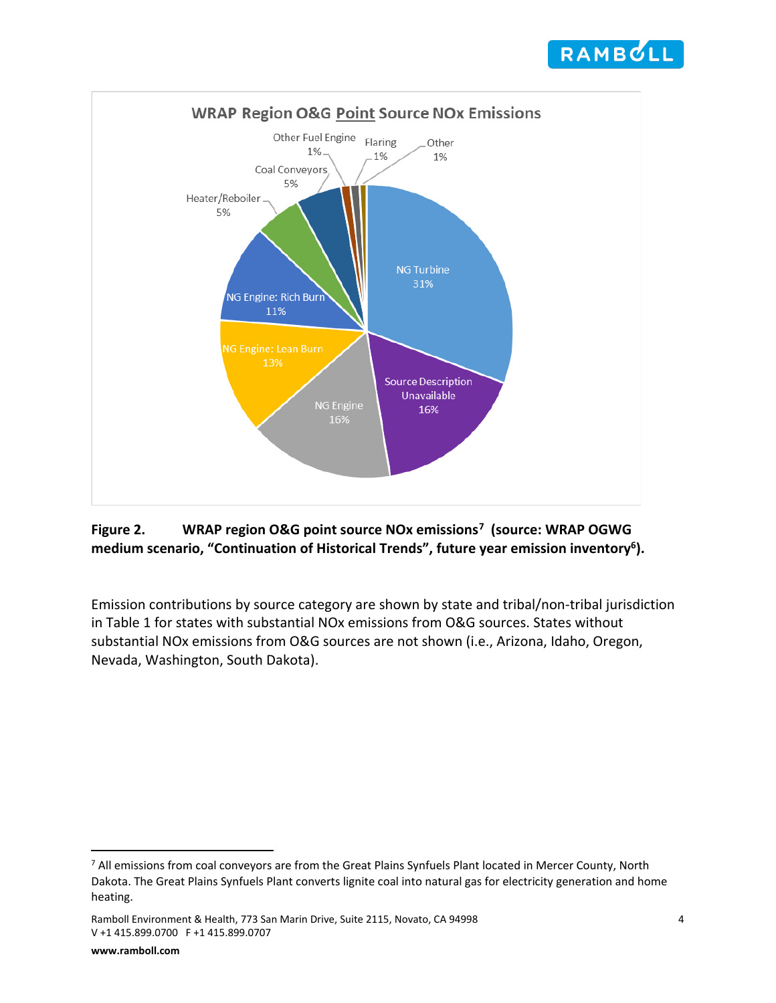<span id="page-3-1"></span>



# **Figure 2. WRAP region O&G point source NOx emissions[7](#page-3-0) (source: WRAP OGWG medium scenario, "Continuation of Historical Trends", future year emission inventor[y6\)](#page-1-1).**

Emission contributions by source category are shown by state and tribal/non-tribal jurisdiction in Table 1 for states with substantial NOx emissions from O&G sources. States without substantial NOx emissions from O&G sources are not shown (i.e., Arizona, Idaho, Oregon, Nevada, Washington, South Dakota).

<span id="page-3-0"></span><sup>&</sup>lt;sup>7</sup> All emissions from coal conveyors are from the Great Plains Synfuels Plant located in Mercer County, North Dakota. The Great Plains Synfuels Plant converts lignite coal into natural gas for electricity generation and home heating.

Ramboll Environment & Health, 773 San Marin Drive, Suite 2115, Novato, CA 94998 4 V +1 415.899.0700 F +1 415.899.0707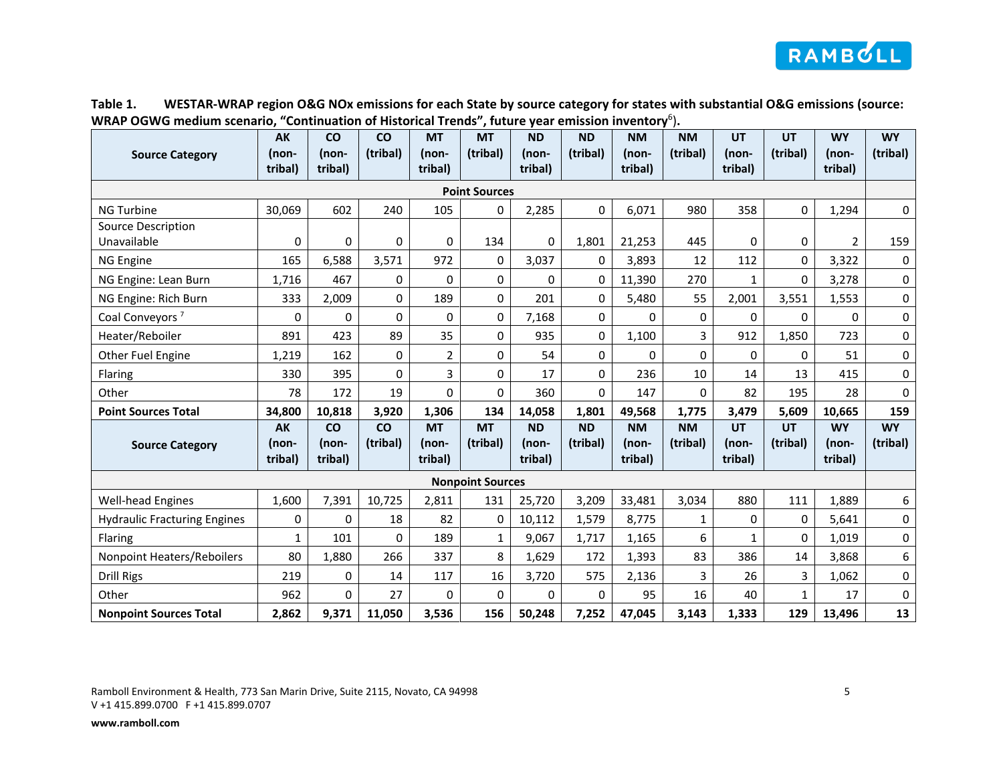

| Table 1. | WESTAR-WRAP region O&G NOx emissions for each State by source category for states with substantial O&G emissions (source: |
|----------|---------------------------------------------------------------------------------------------------------------------------|
|          | WRAP OGWG medium scenario, "Continuation of Historical Trends", future year emission inventory <sup>6</sup> ).            |

| <b>Source Category</b>              | <b>AK</b><br>(non- | <b>CO</b><br>(non- | co<br>(tribal) | <b>MT</b><br>(non- | <b>MT</b><br>(tribal) | <b>ND</b><br>(non- | <b>ND</b><br>(tribal) | <b>NM</b><br>(non- | <b>NM</b><br>(tribal) | <b>UT</b><br>(non- | UT<br>(tribal) | <b>WY</b><br>(non- | <b>WY</b><br>(tribal) |
|-------------------------------------|--------------------|--------------------|----------------|--------------------|-----------------------|--------------------|-----------------------|--------------------|-----------------------|--------------------|----------------|--------------------|-----------------------|
|                                     | tribal)            | tribal)            |                | tribal)            |                       | tribal)            |                       | tribal)            |                       | tribal)            |                | tribal)            |                       |
| <b>Point Sources</b>                |                    |                    |                |                    |                       |                    |                       |                    |                       |                    |                |                    |                       |
| <b>NG Turbine</b>                   | 30,069             | 602                | 240            | 105                | 0                     | 2,285              | 0                     | 6,071              | 980                   | 358                | $\mathbf 0$    | 1,294              | 0                     |
| Source Description                  |                    |                    |                |                    |                       |                    |                       |                    |                       |                    |                |                    |                       |
| Unavailable                         | 0                  | 0                  | 0              | 0                  | 134                   | 0                  | 1,801                 | 21,253             | 445                   | 0                  | 0              | $\overline{2}$     | 159                   |
| NG Engine                           | 165                | 6,588              | 3,571          | 972                | 0                     | 3,037              | 0                     | 3,893              | 12                    | 112                | 0              | 3,322              | $\mathbf 0$           |
| NG Engine: Lean Burn                | 1,716              | 467                | 0              | 0                  | 0                     | $\Omega$           | 0                     | 11,390             | 270                   | $\mathbf{1}$       | $\mathbf 0$    | 3,278              | 0                     |
| NG Engine: Rich Burn                | 333                | 2,009              | 0              | 189                | $\Omega$              | 201                | 0                     | 5,480              | 55                    | 2,001              | 3,551          | 1,553              | $\pmb{0}$             |
| Coal Conveyors <sup>7</sup>         | 0                  | 0                  | 0              | 0                  | 0                     | 7,168              | 0                     | 0                  | 0                     | 0                  | 0              | 0                  | 0                     |
| Heater/Reboiler                     | 891                | 423                | 89             | 35                 | 0                     | 935                | 0                     | 1,100              | 3                     | 912                | 1,850          | 723                | $\pmb{0}$             |
| Other Fuel Engine                   | 1,219              | 162                | 0              | $\overline{2}$     | 0                     | 54                 | 0                     | 0                  | 0                     | 0                  | $\mathbf{0}$   | 51                 | 0                     |
| Flaring                             | 330                | 395                | 0              | 3                  | 0                     | 17                 | 0                     | 236                | 10                    | 14                 | 13             | 415                | 0                     |
| Other                               | 78                 | 172                | 19             | 0                  | 0                     | 360                | 0                     | 147                | 0                     | 82                 | 195            | 28                 | $\pmb{0}$             |
| <b>Point Sources Total</b>          | 34,800             | 10,818             | 3,920          | 1,306              | 134                   | 14,058             | 1,801                 | 49,568             | 1,775                 | 3,479              | 5,609          | 10,665             | 159                   |
|                                     | AK                 | co                 | co             | <b>MT</b>          | <b>MT</b>             | <b>ND</b>          | <b>ND</b>             | <b>NM</b>          | <b>NM</b>             | UT                 | <b>UT</b>      | <b>WY</b>          | <b>WY</b>             |
| <b>Source Category</b>              | (non-<br>tribal)   | (non-<br>tribal)   | (tribal)       | (non-<br>tribal)   | (tribal)              | (non-<br>tribal)   | (tribal)              | (non-<br>tribal)   | (tribal)              | (non-<br>tribal)   | (tribal)       | (non-<br>tribal)   | (tribal)              |
| <b>Nonpoint Sources</b>             |                    |                    |                |                    |                       |                    |                       |                    |                       |                    |                |                    |                       |
| <b>Well-head Engines</b>            | 1,600              | 7,391              | 10,725         | 2,811              | 131                   | 25,720             | 3,209                 | 33,481             | 3,034                 | 880                | 111            | 1,889              | 6                     |
| <b>Hydraulic Fracturing Engines</b> | 0                  | 0                  | 18             | 82                 | 0                     | 10,112             | 1,579                 | 8,775              | $\mathbf{1}$          | 0                  | $\mathbf{0}$   | 5,641              | 0                     |
| Flaring                             | $\mathbf{1}$       | 101                | 0              | 189                | $\mathbf{1}$          | 9,067              | 1,717                 | 1,165              | 6                     | $\mathbf{1}$       | $\mathbf 0$    | 1,019              | 0                     |
| Nonpoint Heaters/Reboilers          | 80                 | 1,880              | 266            | 337                | 8                     | 1,629              | 172                   | 1,393              | 83                    | 386                | 14             | 3,868              | 6                     |
| Drill Rigs                          | 219                | 0                  | 14             | 117                | 16                    | 3,720              | 575                   | 2,136              | 3                     | 26                 | 3              | 1,062              | $\pmb{0}$             |
| Other                               | 962                | 0                  | 27             | 0                  | $\Omega$              | $\Omega$           | $\Omega$              | 95                 | 16                    | 40                 | $\mathbf{1}$   | 17                 | 0                     |
| <b>Nonpoint Sources Total</b>       | 2,862              | 9,371              | 11,050         | 3,536              | 156                   | 50,248             | 7,252                 | 47,045             | 3,143                 | 1,333              | 129            | 13,496             | 13                    |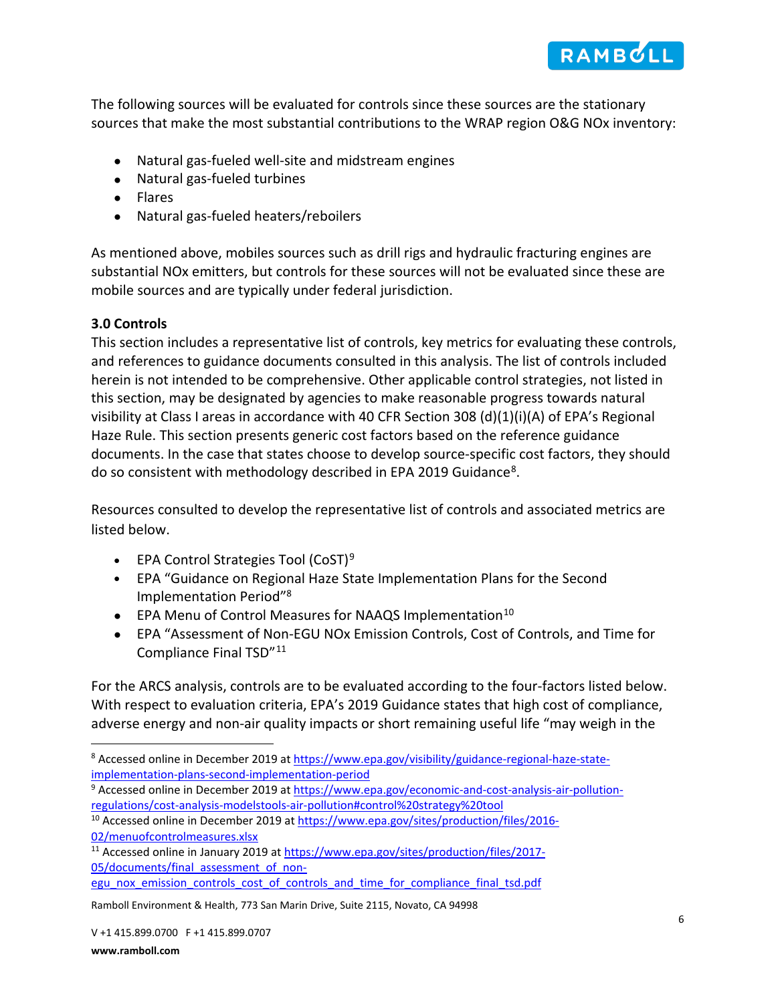

The following sources will be evaluated for controls since these sources are the stationary sources that make the most substantial contributions to the WRAP region O&G NOx inventory:

- Natural gas-fueled well-site and midstream engines
- Natural gas-fueled turbines
- Flares
- Natural gas-fueled heaters/reboilers

As mentioned above, mobiles sources such as drill rigs and hydraulic fracturing engines are substantial NOx emitters, but controls for these sources will not be evaluated since these are mobile sources and are typically under federal jurisdiction.

#### **3.0 Controls**

This section includes a representative list of controls, key metrics for evaluating these controls, and references to guidance documents consulted in this analysis. The list of controls included herein is not intended to be comprehensive. Other applicable control strategies, not listed in this section, may be designated by agencies to make reasonable progress towards natural visibility at Class I areas in accordance with 40 CFR Section 308 (d)(1)(i)(A) of EPA's Regional Haze Rule. This section presents generic cost factors based on the reference guidance documents. In the case that states choose to develop source-specific cost factors, they should do so consistent with methodology described in EPA 2019 Guidance[8](#page-5-1).

Resources consulted to develop the representative list of controls and associated metrics are listed below.

- <span id="page-5-0"></span>• EPA Control Strategies Tool  $(CoST)^9$  $(CoST)^9$
- EPA "Guidance on Regional Haze State Implementation Plans for the Second Implementation Period["8](#page-5-0)
- EPA Menu of Control Measures for NAAQS Implementation<sup>[10](#page-5-3)</sup>
- EPA "Assessment of Non-EGU NOx Emission Controls, Cost of Controls, and Time for Compliance Final TSD"[11](#page-5-4)

For the ARCS analysis, controls are to be evaluated according to the four-factors listed below. With respect to evaluation criteria, EPA's 2019 Guidance states that high cost of compliance, adverse energy and non-air quality impacts or short remaining useful life "may weigh in the

[egu\\_nox\\_emission\\_controls\\_cost\\_of\\_controls\\_and\\_time\\_for\\_compliance\\_final\\_tsd.pdf](https://www.epa.gov/sites/production/files/2017-05/documents/final_assessment_of_non-egu_nox_emission_controls_cost_of_controls_and_time_for_compliance_final_tsd.pdf)

<span id="page-5-1"></span> <sup>8</sup> Accessed online in December 2019 at [https://www.epa.gov/visibility/guidance-regional-haze-state](https://www.epa.gov/visibility/guidance-regional-haze-state-implementation-plans-second-implementation-period)[implementation-plans-second-implementation-period](https://www.epa.gov/visibility/guidance-regional-haze-state-implementation-plans-second-implementation-period)

<span id="page-5-2"></span><sup>&</sup>lt;sup>9</sup> Accessed online in December 2019 at [https://www.epa.gov/economic-and-cost-analysis-air-pollution](https://www.epa.gov/economic-and-cost-analysis-air-pollution-regulations/cost-analysis-modelstools-air-pollution#control%20strategy%20tool)[regulations/cost-analysis-modelstools-air-pollution#control%20strategy%20tool](https://www.epa.gov/economic-and-cost-analysis-air-pollution-regulations/cost-analysis-modelstools-air-pollution#control%20strategy%20tool)

<span id="page-5-3"></span><sup>&</sup>lt;sup>10</sup> Accessed online in December 2019 at [https://www.epa.gov/sites/production/files/2016-](https://www.epa.gov/sites/production/files/2016-02/menuofcontrolmeasures.xlsx) [02/menuofcontrolmeasures.xlsx](https://www.epa.gov/sites/production/files/2016-02/menuofcontrolmeasures.xlsx)

<span id="page-5-4"></span><sup>&</sup>lt;sup>11</sup> Accessed online in January 2019 a[t https://www.epa.gov/sites/production/files/2017-](https://www.epa.gov/sites/production/files/2017-05/documents/final_assessment_of_non-egu_nox_emission_controls_cost_of_controls_and_time_for_compliance_final_tsd.pdf) [05/documents/final\\_assessment\\_of\\_non-](https://www.epa.gov/sites/production/files/2017-05/documents/final_assessment_of_non-egu_nox_emission_controls_cost_of_controls_and_time_for_compliance_final_tsd.pdf)

Ramboll Environment & Health, 773 San Marin Drive, Suite 2115, Novato, CA 94998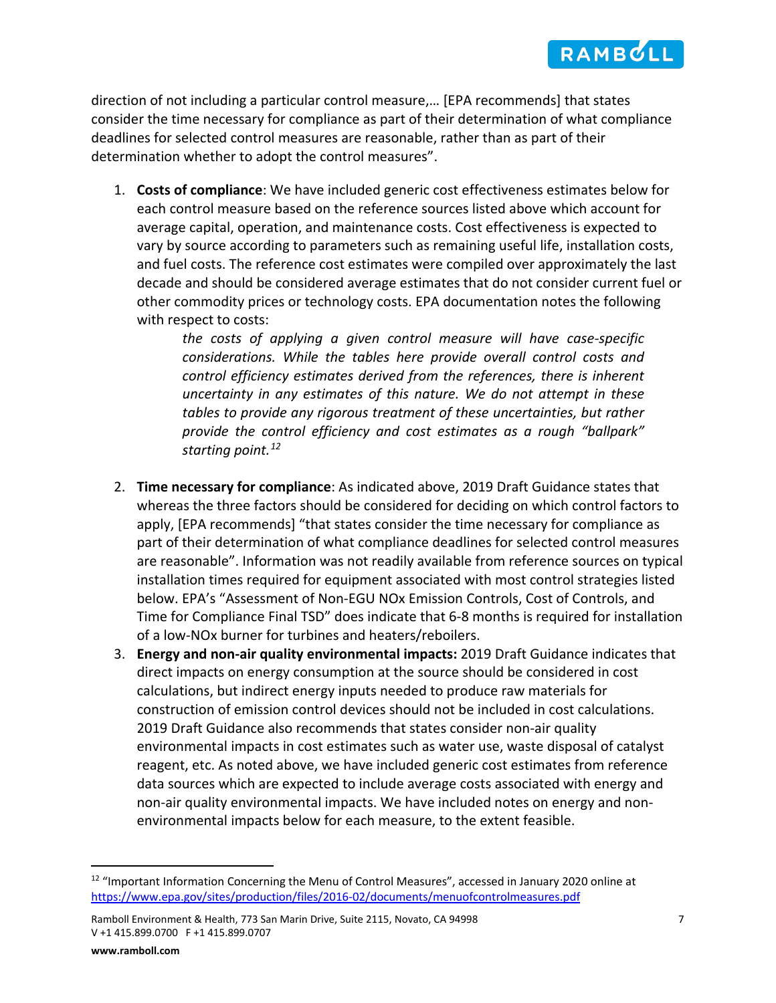

direction of not including a particular control measure,… [EPA recommends] that states consider the time necessary for compliance as part of their determination of what compliance deadlines for selected control measures are reasonable, rather than as part of their determination whether to adopt the control measures".

1. **Costs of compliance**: We have included generic cost effectiveness estimates below for each control measure based on the reference sources listed above which account for average capital, operation, and maintenance costs. Cost effectiveness is expected to vary by source according to parameters such as remaining useful life, installation costs, and fuel costs. The reference cost estimates were compiled over approximately the last decade and should be considered average estimates that do not consider current fuel or other commodity prices or technology costs. EPA documentation notes the following with respect to costs:

> *the costs of applying a given control measure will have case-specific considerations. While the tables here provide overall control costs and control efficiency estimates derived from the references, there is inherent uncertainty in any estimates of this nature. We do not attempt in these tables to provide any rigorous treatment of these uncertainties, but rather provide the control efficiency and cost estimates as a rough "ballpark" starting point.[12](#page-6-0)*

- 2. **Time necessary for compliance**: As indicated above, 2019 Draft Guidance states that whereas the three factors should be considered for deciding on which control factors to apply, [EPA recommends] "that states consider the time necessary for compliance as part of their determination of what compliance deadlines for selected control measures are reasonable". Information was not readily available from reference sources on typical installation times required for equipment associated with most control strategies listed below. EPA's "Assessment of Non-EGU NOx Emission Controls, Cost of Controls, and Time for Compliance Final TSD" does indicate that 6-8 months is required for installation of a low-NOx burner for turbines and heaters/reboilers.
- 3. **Energy and non-air quality environmental impacts:** 2019 Draft Guidance indicates that direct impacts on energy consumption at the source should be considered in cost calculations, but indirect energy inputs needed to produce raw materials for construction of emission control devices should not be included in cost calculations. 2019 Draft Guidance also recommends that states consider non-air quality environmental impacts in cost estimates such as water use, waste disposal of catalyst reagent, etc. As noted above, we have included generic cost estimates from reference data sources which are expected to include average costs associated with energy and non-air quality environmental impacts. We have included notes on energy and nonenvironmental impacts below for each measure, to the extent feasible.

<span id="page-6-0"></span> $12$  "Important Information Concerning the Menu of Control Measures", accessed in January 2020 online at <https://www.epa.gov/sites/production/files/2016-02/documents/menuofcontrolmeasures.pdf>

Ramboll Environment & Health, 773 San Marin Drive, Suite 2115, Novato, CA 94998 7 V +1 415.899.0700 F +1 415.899.0707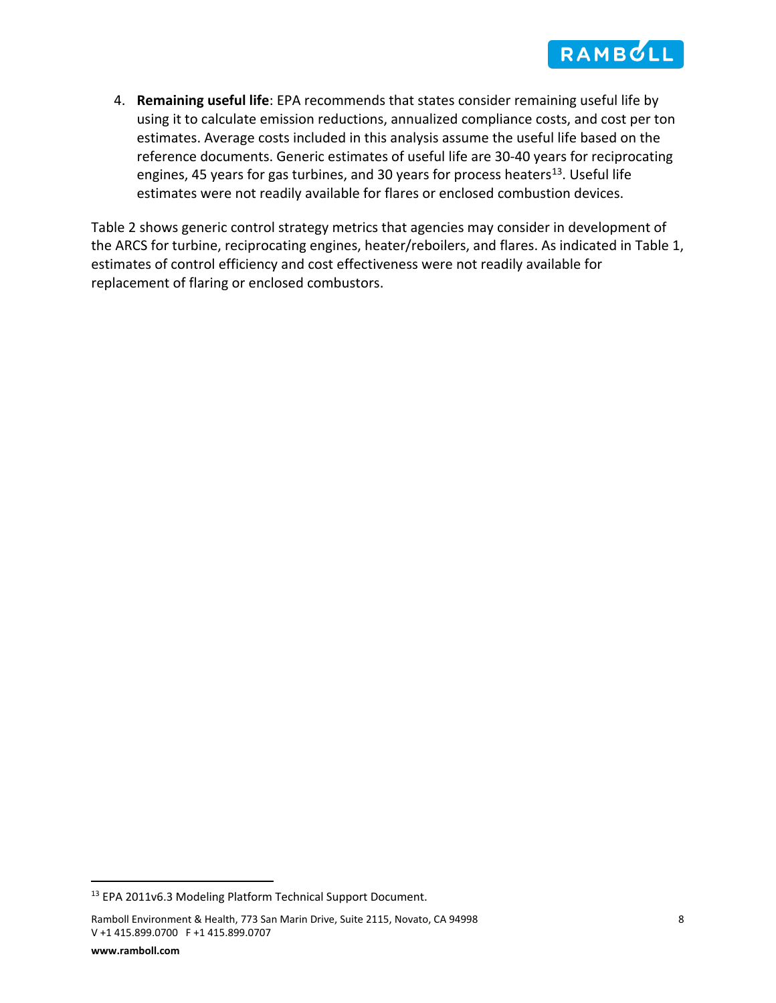4. **Remaining useful life**: EPA recommends that states consider remaining useful life by using it to calculate emission reductions, annualized compliance costs, and cost per ton estimates. Average costs included in this analysis assume the useful life based on the reference documents. Generic estimates of useful life are 30-40 years for reciprocating engines, 45 years for gas turbines, and 30 years for process heaters<sup>13</sup>. Useful life estimates were not readily available for flares or enclosed combustion devices.

Table 2 shows generic control strategy metrics that agencies may consider in development of the ARCS for turbine, reciprocating engines, heater/reboilers, and flares. As indicated in Table 1, estimates of control efficiency and cost effectiveness were not readily available for replacement of flaring or enclosed combustors.

<span id="page-7-0"></span><sup>&</sup>lt;sup>13</sup> EPA 2011v6.3 Modeling Platform Technical Support Document.

Ramboll Environment & Health, 773 San Marin Drive, Suite 2115, Novato, CA 94998 8 V +1 415.899.0700 F +1 415.899.0707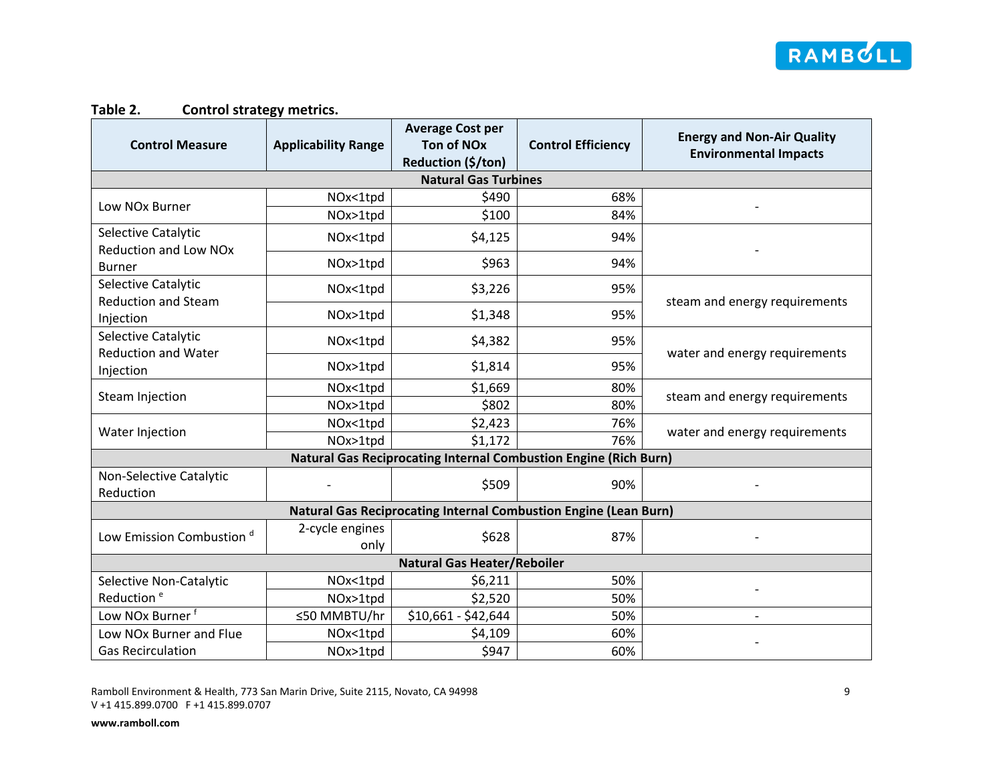

# **Table 2. Control strategy metrics.**

| <b>Control Measure</b>                                                  | <b>Applicability Range</b> | <b>Average Cost per</b><br><b>Ton of NOx</b><br>Reduction (\$/ton) | <b>Control Efficiency</b> | <b>Energy and Non-Air Quality</b><br><b>Environmental Impacts</b> |  |  |  |  |  |  |
|-------------------------------------------------------------------------|----------------------------|--------------------------------------------------------------------|---------------------------|-------------------------------------------------------------------|--|--|--|--|--|--|
| <b>Natural Gas Turbines</b>                                             |                            |                                                                    |                           |                                                                   |  |  |  |  |  |  |
|                                                                         | NOx<1tpd                   | \$490                                                              | 68%                       |                                                                   |  |  |  |  |  |  |
| Low NOx Burner                                                          | NOx>1tpd                   | \$100                                                              | 84%                       |                                                                   |  |  |  |  |  |  |
| Selective Catalytic<br><b>Reduction and Low NOx</b>                     | NOx<1tpd                   | \$4,125                                                            | 94%                       |                                                                   |  |  |  |  |  |  |
| <b>Burner</b>                                                           | NOx>1tpd                   | \$963                                                              | 94%                       |                                                                   |  |  |  |  |  |  |
| Selective Catalytic<br><b>Reduction and Steam</b>                       | NOx<1tpd                   | \$3,226                                                            | 95%                       |                                                                   |  |  |  |  |  |  |
| Injection                                                               | NOx>1tpd                   | \$1,348                                                            | 95%                       | steam and energy requirements                                     |  |  |  |  |  |  |
| Selective Catalytic<br><b>Reduction and Water</b>                       | NOx<1tpd                   | \$4,382                                                            | 95%                       |                                                                   |  |  |  |  |  |  |
| Injection                                                               | NOx>1tpd                   | \$1,814                                                            | 95%                       | water and energy requirements                                     |  |  |  |  |  |  |
| Steam Injection                                                         | NOx<1tpd                   | \$1,669                                                            | 80%                       | steam and energy requirements                                     |  |  |  |  |  |  |
|                                                                         | NOx>1tpd                   | \$802                                                              | 80%                       |                                                                   |  |  |  |  |  |  |
| Water Injection                                                         | NOx<1tpd                   | \$2,423                                                            | 76%                       | water and energy requirements                                     |  |  |  |  |  |  |
|                                                                         | NOx>1tpd                   | \$1,172                                                            | 76%                       |                                                                   |  |  |  |  |  |  |
| <b>Natural Gas Reciprocating Internal Combustion Engine (Rich Burn)</b> |                            |                                                                    |                           |                                                                   |  |  |  |  |  |  |
| Non-Selective Catalytic<br>Reduction                                    |                            | \$509                                                              | 90%                       |                                                                   |  |  |  |  |  |  |
| <b>Natural Gas Reciprocating Internal Combustion Engine (Lean Burn)</b> |                            |                                                                    |                           |                                                                   |  |  |  |  |  |  |
| Low Emission Combustion <sup>d</sup>                                    | 2-cycle engines<br>only    | \$628                                                              | 87%                       |                                                                   |  |  |  |  |  |  |
| <b>Natural Gas Heater/Reboiler</b>                                      |                            |                                                                    |                           |                                                                   |  |  |  |  |  |  |
| Selective Non-Catalytic                                                 | NOx<1tpd                   | \$6,211                                                            | 50%                       |                                                                   |  |  |  |  |  |  |
| Reduction <sup>e</sup>                                                  | NOx>1tpd                   | \$2,520                                                            | 50%                       |                                                                   |  |  |  |  |  |  |
| Low NOx Burner f                                                        | ≤50 MMBTU/hr               | \$10,661 - \$42,644                                                | 50%                       |                                                                   |  |  |  |  |  |  |
| Low NOx Burner and Flue                                                 | NOx<1tpd                   | \$4,109                                                            | 60%                       |                                                                   |  |  |  |  |  |  |
| <b>Gas Recirculation</b>                                                | NOx>1tpd                   | \$947                                                              | 60%                       |                                                                   |  |  |  |  |  |  |

Ramboll Environment & Health, 773 San Marin Drive, Suite 2115, Novato, CA 94998 99998 V +1 415.899.0700 F +1 415.899.0707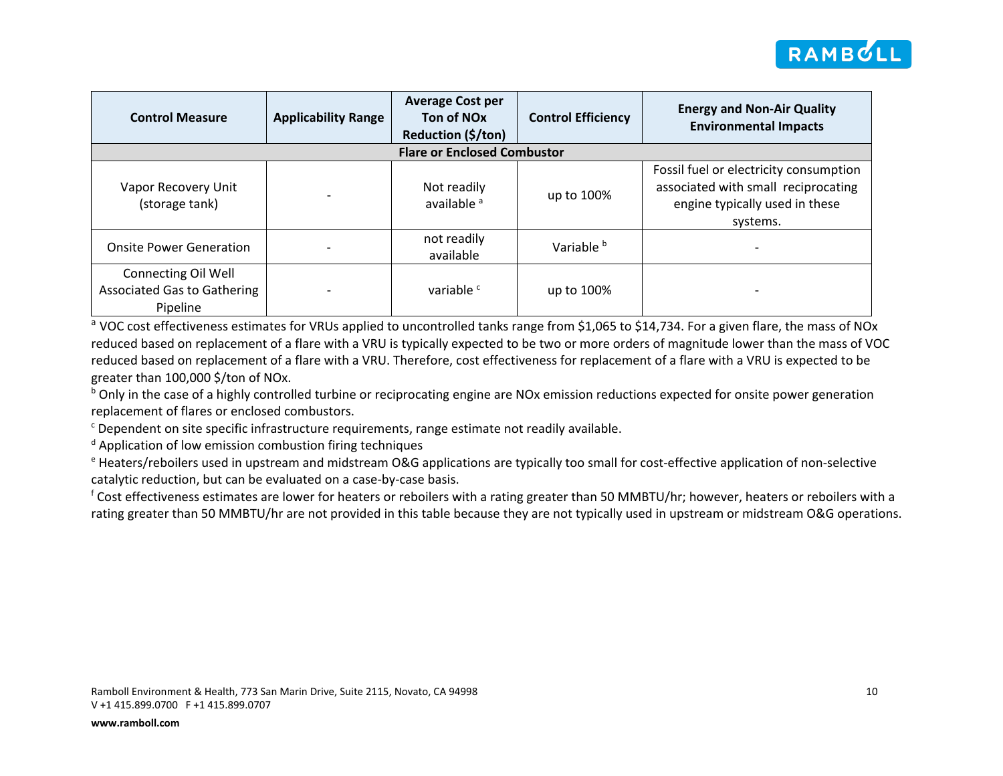

| <b>Control Measure</b>                                                | <b>Applicability Range</b> | <b>Average Cost per</b><br>Ton of NO <sub>x</sub><br>Reduction (\$/ton) | <b>Control Efficiency</b> | <b>Energy and Non-Air Quality</b><br><b>Environmental Impacts</b>                                                           |  |  |  |  |  |  |
|-----------------------------------------------------------------------|----------------------------|-------------------------------------------------------------------------|---------------------------|-----------------------------------------------------------------------------------------------------------------------------|--|--|--|--|--|--|
| <b>Flare or Enclosed Combustor</b>                                    |                            |                                                                         |                           |                                                                                                                             |  |  |  |  |  |  |
| Vapor Recovery Unit<br>(storage tank)                                 |                            | Not readily<br>available <sup>a</sup>                                   | up to 100%                | Fossil fuel or electricity consumption<br>associated with small reciprocating<br>engine typically used in these<br>systems. |  |  |  |  |  |  |
| <b>Onsite Power Generation</b>                                        |                            | not readily<br>available                                                | Variable <sup>b</sup>     |                                                                                                                             |  |  |  |  |  |  |
| Connecting Oil Well<br><b>Associated Gas to Gathering</b><br>Pipeline |                            | variable <sup>c</sup>                                                   | up to 100%                |                                                                                                                             |  |  |  |  |  |  |

a VOC cost effectiveness estimates for VRUs applied to uncontrolled tanks range from \$1,065 to \$14,734. For a given flare, the mass of NOx reduced based on replacement of a flare with a VRU is typically expected to be two or more orders of magnitude lower than the mass of VOC reduced based on replacement of a flare with a VRU. Therefore, cost effectiveness for replacement of a flare with a VRU is expected to be greater than 100,000 \$/ton of NOx.

 $b$  Only in the case of a highly controlled turbine or reciprocating engine are NOx emission reductions expected for onsite power generation replacement of flares or enclosed combustors.

<sup>c</sup> Dependent on site specific infrastructure requirements, range estimate not readily available.

<sup>d</sup> Application of low emission combustion firing techniques

<sup>e</sup> Heaters/reboilers used in upstream and midstream O&G applications are typically too small for cost-effective application of non-selective catalytic reduction, but can be evaluated on a case-by-case basis.

<sup>f</sup> Cost effectiveness estimates are lower for heaters or reboilers with a rating greater than 50 MMBTU/hr; however, heaters or reboilers with a rating greater than 50 MMBTU/hr are not provided in this table because they are not typically used in upstream or midstream O&G operations.